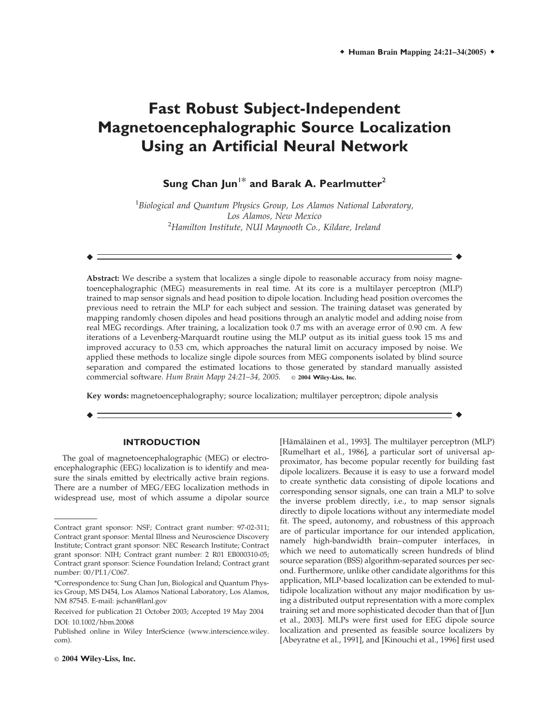# **Fast Robust Subject-Independent Magnetoencephalographic Source Localization Using an Artificial Neural Network**

# **Sung Chan Jun<sup>1\*</sup> and Barak A. Pearlmutter<sup>2</sup>**

1 *Biological and Quantum Physics Group, Los Alamos National Laboratory, Los Alamos, New Mexico* <sup>2</sup> *Hamilton Institute, NUI Maynooth Co., Kildare, Ireland*

◆ ——————————————————————————————— ◆

**Abstract:** We describe a system that localizes a single dipole to reasonable accuracy from noisy magnetoencephalographic (MEG) measurements in real time. At its core is a multilayer perceptron (MLP) trained to map sensor signals and head position to dipole location. Including head position overcomes the previous need to retrain the MLP for each subject and session. The training dataset was generated by mapping randomly chosen dipoles and head positions through an analytic model and adding noise from real MEG recordings. After training, a localization took 0.7 ms with an average error of 0.90 cm. A few iterations of a Levenberg-Marquardt routine using the MLP output as its initial guess took 15 ms and improved accuracy to 0.53 cm, which approaches the natural limit on accuracy imposed by noise. We applied these methods to localize single dipole sources from MEG components isolated by blind source separation and compared the estimated locations to those generated by standard manually assisted commercial software. *Hum Brain Mapp 24:21–34, 2005.* © **2004 Wiley-Liss, Inc.**

**Key words:** magnetoencephalography; source localization; multilayer perceptron; dipole analysis

 $\blacklozenge$  and the contract of the contract of the contract of the contract of  $\blacklozenge$ 

# **INTRODUCTION**

The goal of magnetoencephalographic (MEG) or electroencephalographic (EEG) localization is to identify and measure the sinals emitted by electrically active brain regions. There are a number of MEG/EEG localization methods in widespread use, most of which assume a dipolar source [Hämäläinen et al., 1993]. The multilayer perceptron (MLP) [Rumelhart et al., 1986], a particular sort of universal approximator, has become popular recently for building fast dipole localizers. Because it is easy to use a forward model to create synthetic data consisting of dipole locations and corresponding sensor signals, one can train a MLP to solve the inverse problem directly, i.e., to map sensor signals directly to dipole locations without any intermediate model fit. The speed, autonomy, and robustness of this approach are of particular importance for our intended application, namely high-bandwidth brain– computer interfaces, in which we need to automatically screen hundreds of blind source separation (BSS) algorithm-separated sources per second. Furthermore, unlike other candidate algorithms for this application, MLP-based localization can be extended to multidipole localization without any major modification by using a distributed output representation with a more complex training set and more sophisticated decoder than that of [Jun et al., 2003]. MLPs were first used for EEG dipole source localization and presented as feasible source localizers by [Abeyratne et al., 1991], and [Kinouchi et al., 1996] first used

Contract grant sponsor: NSF; Contract grant number: 97-02-311; Contract grant sponsor: Mental Illness and Neuroscience Discovery Institute; Contract grant sponsor: NEC Research Institute; Contract grant sponsor: NIH; Contract grant number: 2 R01 EB000310-05; Contract grant sponsor: Science Foundation Ireland; Contract grant number: 00/PI.1/C067.

<sup>\*</sup>Correspondence to: Sung Chan Jun, Biological and Quantum Physics Group, MS D454, Los Alamos National Laboratory, Los Alamos, NM 87545. E-mail: jschan@lanl.gov

Received for publication 21 October 2003; Accepted 19 May 2004 DOI: 10.1002/hbm.20068

Published online in Wiley InterScience (www.interscience.wiley. com).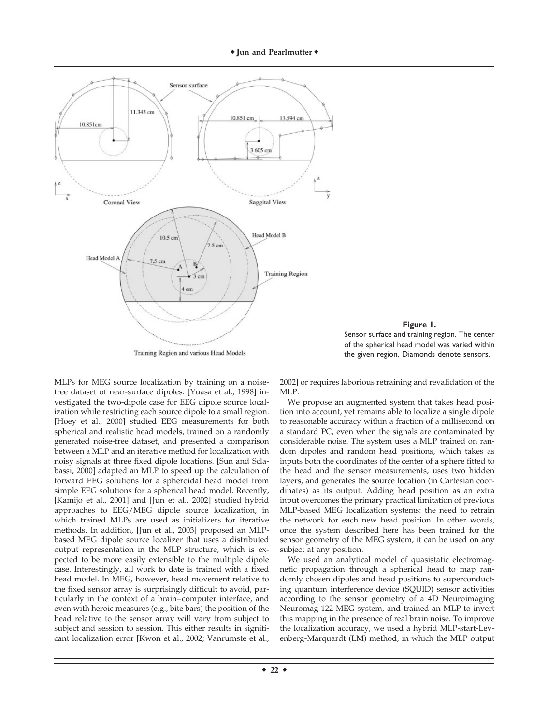

Training Region and various Head Models



MLPs for MEG source localization by training on a noisefree dataset of near-surface dipoles. [Yuasa et al., 1998] investigated the two-dipole case for EEG dipole source localization while restricting each source dipole to a small region. [Hoey et al., 2000] studied EEG measurements for both spherical and realistic head models, trained on a randomly generated noise-free dataset, and presented a comparison between a MLP and an iterative method for localization with noisy signals at three fixed dipole locations. [Sun and Sclabassi, 2000] adapted an MLP to speed up the calculation of forward EEG solutions for a spheroidal head model from simple EEG solutions for a spherical head model. Recently, [Kamijo et al., 2001] and [Jun et al., 2002] studied hybrid approaches to EEG/MEG dipole source localization, in which trained MLPs are used as initializers for iterative methods. In addition, [Jun et al., 2003] proposed an MLPbased MEG dipole source localizer that uses a distributed output representation in the MLP structure, which is expected to be more easily extensible to the multiple dipole case. Interestingly, all work to date is trained with a fixed head model. In MEG, however, head movement relative to the fixed sensor array is surprisingly difficult to avoid, particularly in the context of a brain– computer interface, and even with heroic measures (e.g., bite bars) the position of the head relative to the sensor array will vary from subject to subject and session to session. This either results in significant localization error [Kwon et al., 2002; Vanrumste et al.,

2002] or requires laborious retraining and revalidation of the MLP.

We propose an augmented system that takes head position into account, yet remains able to localize a single dipole to reasonable accuracy within a fraction of a millisecond on a standard PC, even when the signals are contaminated by considerable noise. The system uses a MLP trained on random dipoles and random head positions, which takes as inputs both the coordinates of the center of a sphere fitted to the head and the sensor measurements, uses two hidden layers, and generates the source location (in Cartesian coordinates) as its output. Adding head position as an extra input overcomes the primary practical limitation of previous MLP-based MEG localization systems: the need to retrain the network for each new head position. In other words, once the system described here has been trained for the sensor geometry of the MEG system, it can be used on any subject at any position.

We used an analytical model of quasistatic electromagnetic propagation through a spherical head to map randomly chosen dipoles and head positions to superconducting quantum interference device (SQUID) sensor activities according to the sensor geometry of a 4D Neuroimaging Neuromag-122 MEG system, and trained an MLP to invert this mapping in the presence of real brain noise. To improve the localization accuracy, we used a hybrid MLP-start-Levenberg-Marquardt (LM) method, in which the MLP output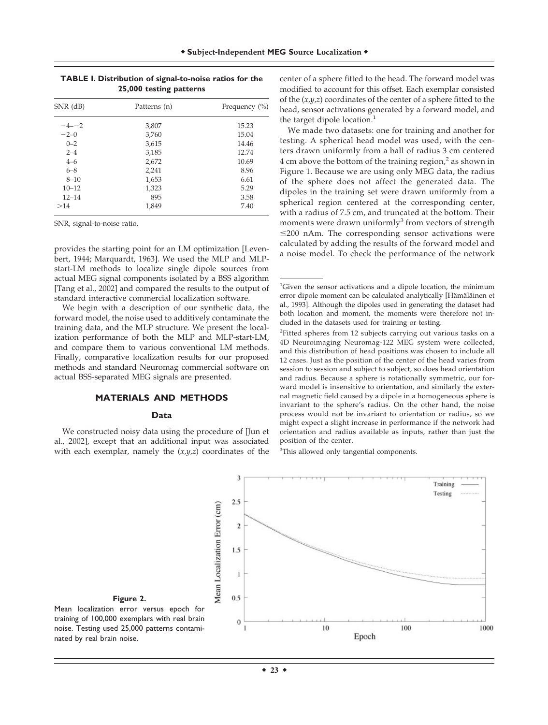| $SNR$ (dB) | Patterns (n) | Frequency $(\% )$ |  |  |
|------------|--------------|-------------------|--|--|
| $-4 - -2$  | 3,807        | 15.23             |  |  |
| $-2-0$     | 3,760        | 15.04             |  |  |
| $0 - 2$    | 3,615        | 14.46             |  |  |
| $2 - 4$    | 3,185        | 12.74             |  |  |
| $4 - 6$    | 2,672        | 10.69             |  |  |
| $6 - 8$    | 2,241        | 8.96              |  |  |
| $8 - 10$   | 1,653        | 6.61              |  |  |
| $10 - 12$  | 1,323        | 5.29              |  |  |
| $12 - 14$  | 895          | 3.58              |  |  |
| >14        | 1,849        | 7.40              |  |  |

| <b>TABLE I. Distribution of signal-to-noise ratios for the</b> |                         |  |  |
|----------------------------------------------------------------|-------------------------|--|--|
|                                                                | 25,000 testing patterns |  |  |

SNR, signal-to-noise ratio.

provides the starting point for an LM optimization [Levenbert, 1944; Marquardt, 1963]. We used the MLP and MLPstart-LM methods to localize single dipole sources from actual MEG signal components isolated by a BSS algorithm [Tang et al., 2002] and compared the results to the output of standard interactive commercial localization software.

We begin with a description of our synthetic data, the forward model, the noise used to additively contaminate the training data, and the MLP structure. We present the localization performance of both the MLP and MLP-start-LM, and compare them to various conventional LM methods. Finally, comparative localization results for our proposed methods and standard Neuromag commercial software on actual BSS-separated MEG signals are presented.

#### **MATERIALS AND METHODS**

# **Data**

We constructed noisy data using the procedure of [Jun et al., 2002], except that an additional input was associated with each exemplar, namely the (*x,y,z*) coordinates of the center of a sphere fitted to the head. The forward model was modified to account for this offset. Each exemplar consisted of the (*x,y,z*) coordinates of the center of a sphere fitted to the head, sensor activations generated by a forward model, and the target dipole location. $<sup>1</sup>$ </sup>

We made two datasets: one for training and another for testing. A spherical head model was used, with the centers drawn uniformly from a ball of radius 3 cm centered 4 cm above the bottom of the training region, $^2$  as shown in Figure 1. Because we are using only MEG data, the radius of the sphere does not affect the generated data. The dipoles in the training set were drawn uniformly from a spherical region centered at the corresponding center, with a radius of 7.5 cm, and truncated at the bottom. Their moments were drawn uniformly<sup>3</sup> from vectors of strength  $\leq$ 200 nAm. The corresponding sensor activations were calculated by adding the results of the forward model and a noise model. To check the performance of the network

<sup>3</sup>This allowed only tangential components.



#### **Figure 2.**

Mean localization error versus epoch for training of 100,000 exemplars with real brain noise. Testing used 25,000 patterns contaminated by real brain noise.

<sup>&</sup>lt;sup>1</sup>Given the sensor activations and a dipole location, the minimum error dipole moment can be calculated analytically [Hämäläinen et al., 1993]. Although the dipoles used in generating the dataset had both location and moment, the moments were therefore not included in the datasets used for training or testing.

<sup>&</sup>lt;sup>2</sup>Fitted spheres from 12 subjects carrying out various tasks on a 4D Neuroimaging Neuromag-122 MEG system were collected, and this distribution of head positions was chosen to include all 12 cases. Just as the position of the center of the head varies from session to session and subject to subject, so does head orientation and radius. Because a sphere is rotationally symmetric, our forward model is insensitive to orientation, and similarly the external magnetic field caused by a dipole in a homogeneous sphere is invariant to the sphere's radius. On the other hand, the noise process would not be invariant to orientation or radius, so we might expect a slight increase in performance if the network had orientation and radius available as inputs, rather than just the position of the center.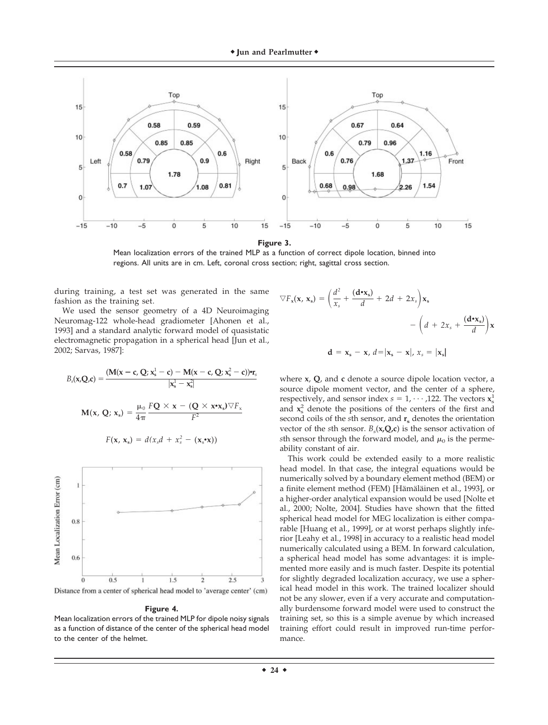**Jun and Pearlmutter**



Mean localization errors of the trained MLP as a function of correct dipole location, binned into regions. All units are in cm. Left, coronal cross section; right, sagittal cross section.

during training, a test set was generated in the same fashion as the training set.

We used the sensor geometry of a 4D Neuroimaging Neuromag-122 whole-head gradiometer [Ahonen et al., 1993] and a standard analytic forward model of quasistatic electromagnetic propagation in a spherical head [Jun et al., 2002; Sarvas, 1987]:

$$
B_{s}(\mathbf{x},\mathbf{Q},\mathbf{c}) = \frac{(\mathbf{M}(\mathbf{x}-\mathbf{c},\mathbf{Q};\mathbf{x}_{s}^{1}-\mathbf{c})-\mathbf{M}(\mathbf{x}-\mathbf{c},\mathbf{Q};\mathbf{x}_{s}^{2}-\mathbf{c}))\cdot\mathbf{r}_{s}}{|\mathbf{x}_{s}^{1}-\mathbf{x}_{s}^{2}|}
$$

$$
\mathbf{M}(\mathbf{x},\mathbf{Q};\mathbf{x}_s) = \frac{\mu_0}{4\pi} \frac{F\mathbf{Q} \times \mathbf{x} - (\mathbf{Q} \times \mathbf{x} \cdot \mathbf{x}_s) \nabla F_{\mathbf{x}}}{F^2}
$$

$$
F(\mathbf{x},\,\mathbf{x}_s) = d(x_s d + x_s^2 - (\mathbf{x}_s \cdot \mathbf{x}))
$$



Distance from a center of spherical head model to 'average center' (cm)

## **Figure 4.**

Mean localization errors of the trained MLP for dipole noisy signals as a function of distance of the center of the spherical head model to the center of the helmet.

$$
\nabla F_{\mathbf{x}}(\mathbf{x}, \mathbf{x_s}) = \left(\frac{d^2}{x_s} + \frac{(\mathbf{d} \cdot \mathbf{x_s})}{d} + 2d + 2x_s\right) \mathbf{x_s} - \left(d + 2x_s + \frac{(\mathbf{d} \cdot \mathbf{x_s})}{d}\right) \mathbf{x}
$$

$$
\mathbf{d} = \mathbf{x_s} - \mathbf{x}, d = |\mathbf{x_s} - \mathbf{x}|, x_s = |\mathbf{x_s}|
$$

where **x**, **Q**, and **c** denote a source dipole location vector, a source dipole moment vector, and the center of a sphere, respectively, and sensor index  $s = 1, \dots, 122$ . The vectors  $\mathbf{x}_s^1$ and  $x_s^2$  denote the positions of the centers of the first and second coils of the *s*th sensor, and  $\mathbf{r}_s$  denotes the orientation vector of the *s*th sensor.  $B_s(x,Q,c)$  is the sensor activation of  $s$ th sensor through the forward model, and  $\mu_0$  is the permeability constant of air.

This work could be extended easily to a more realistic head model. In that case, the integral equations would be numerically solved by a boundary element method (BEM) or a finite element method (FEM) [Hämäläinen et al., 1993], or a higher-order analytical expansion would be used [Nolte et al., 2000; Nolte, 2004]. Studies have shown that the fitted spherical head model for MEG localization is either comparable [Huang et al., 1999], or at worst perhaps slightly inferior [Leahy et al., 1998] in accuracy to a realistic head model numerically calculated using a BEM. In forward calculation, a spherical head model has some advantages: it is implemented more easily and is much faster. Despite its potential for slightly degraded localization accuracy, we use a spherical head model in this work. The trained localizer should not be any slower, even if a very accurate and computationally burdensome forward model were used to construct the training set, so this is a simple avenue by which increased training effort could result in improved run-time performance.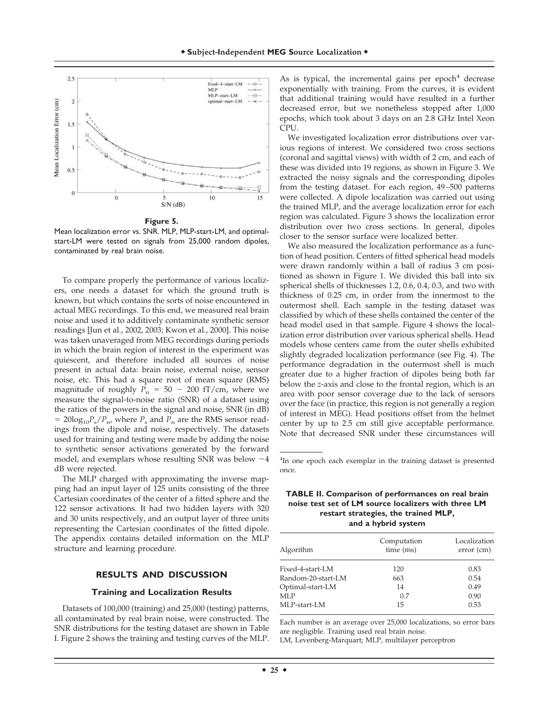

**Figure 5.**

Mean localization error vs. SNR. MLP, MLP-start-LM, and optimalstart-LM were tested on signals from 25,000 random dipoles, contaminated by real brain noise.

To compare properly the performance of various localizers, one needs a dataset for which the ground truth is known, but which contains the sorts of noise encountered in actual MEG recordings. To this end, we measured real brain noise and used it to additively contaminate synthetic sensor readings [Jun et al., 2002, 2003; Kwon et al., 2000]. This noise was taken unaveraged from MEG recordings during periods in which the brain region of interest in the experiment was quiescent, and therefore included all sources of noise present in actual data: brain noise, external noise, sensor noise, etc. This had a square root of mean square (RMS) magnitude of roughly  $P_n = 50 - 200$  fT/cm, where we measure the signal-to-noise ratio (SNR) of a dataset using the ratios of the powers in the signal and noise, SNR (in dB)  $= 20\log_{10}P_s/P_p$ , where  $P_s$  and  $P_p$  are the RMS sensor readings from the dipole and noise, respectively. The datasets used for training and testing were made by adding the noise to synthetic sensor activations generated by the forward model, and exemplars whose resulting SNR was below  $-4$ dB were rejected.

The MLP charged with approximating the inverse mapping had an input layer of 125 units consisting of the three Cartesian coordinates of the center of a fitted sphere and the 122 sensor activations. It had two hidden layers with 320 and 30 units respectively, and an output layer of three units representing the Cartesian coordinates of the fitted dipole. The appendix contains detailed information on the MLP structure and learning procedure.

# **RESULTS AND DISCUSSION**

# **Training and Localization Results**

Datasets of 100,000 (training) and 25,000 (testing) patterns, all contaminated by real brain noise, were constructed. The SNR distributions for the testing dataset are shown in Table I. Figure 2 shows the training and testing curves of the MLP.

As is typical, the incremental gains per  $epoch<sup>4</sup>$  decrease exponentially with training. From the curves, it is evident that additional training would have resulted in a further decreased error, but we nonetheless stopped after 1,000 epochs, which took about 3 days on an 2.8 GHz Intel Xeon CPU.

We investigated localization error distributions over various regions of interest. We considered two cross sections (coronal and sagittal views) with width of 2 cm, and each of these was divided into 19 regions, as shown in Figure 3. We extracted the noisy signals and the corresponding dipoles from the testing dataset. For each region, 49 –500 patterns were collected. A dipole localization was carried out using the trained MLP, and the average localization error for each region was calculated. Figure 3 shows the localization error distribution over two cross sections. In general, dipoles closer to the sensor surface were localized better.

We also measured the localization performance as a function of head position. Centers of fitted spherical head models were drawn randomly within a ball of radius 3 cm positioned as shown in Figure 1. We divided this ball into six spherical shells of thicknesses 1.2, 0.6, 0.4, 0.3, and two with thickness of 0.25 cm, in order from the innermost to the outermost shell. Each sample in the testing dataset was classified by which of these shells contained the center of the head model used in that sample. Figure 4 shows the localization error distribution over various spherical shells. Head models whose centers came from the outer shells exhibited slightly degraded localization performance (see Fig. 4). The performance degradation in the outermost shell is much greater due to a higher fraction of dipoles being both far below the *z*-axis and close to the frontal region, which is an area with poor sensor coverage due to the lack of sensors over the face (in practice, this region is not generally a region of interest in MEG). Head positions offset from the helmet center by up to 2.5 cm still give acceptable performance. Note that decreased SNR under these circumstances will

<sup>4</sup>In one epoch each exemplar in the training dataset is presented once.

# **TABLE II. Comparison of performances on real brain noise test set of LM source localizers with three LM restart strategies, the trained MLP, and a hybrid system**

| Algorithm          | Computation<br>time (ms) | Localization<br>error (cm) |  |  |
|--------------------|--------------------------|----------------------------|--|--|
| Fixed-4-start-LM   | 120                      | 0.83                       |  |  |
| Random-20-start-LM | 663                      | 0.54                       |  |  |
| Optimal-start-LM   | 14                       | 0.49                       |  |  |
| MLP                | 0.7                      | 0.90                       |  |  |
| MLP-start-LM       | 15                       | 0.53                       |  |  |

Each number is an average over 25,000 localizations, so error bars are negligible. Training used real brain noise.

LM, Levenberg-Marquart; MLP, multilayer perceptron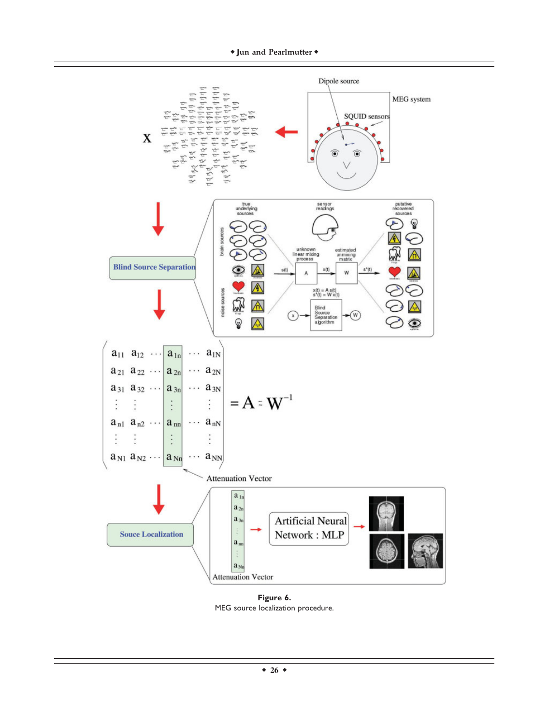

**Figure 6.** MEG source localization procedure.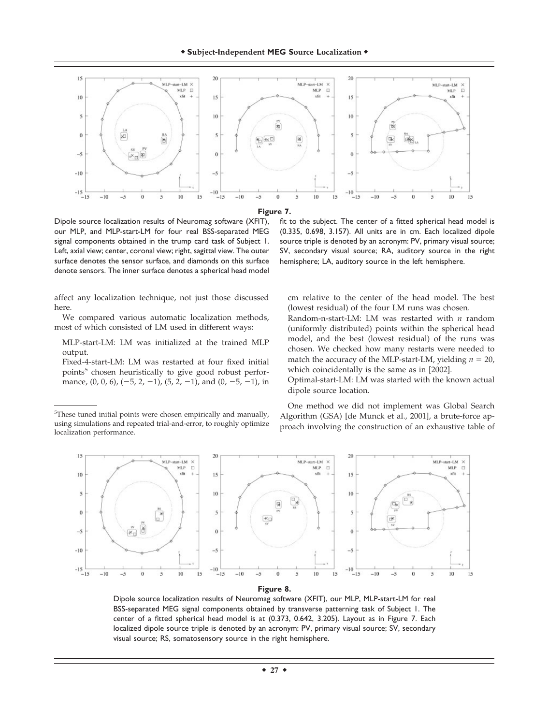

**Figure 7.**

Dipole source localization results of Neuromag software (XFIT), our MLP, and MLP-start-LM for four real BSS-separated MEG signal components obtained in the trump card task of Subject 1. Left, axial view; center, coronal view; right, sagittal view. The outer surface denotes the sensor surface, and diamonds on this surface denote sensors. The inner surface denotes a spherical head model

affect any localization technique, not just those discussed here.

We compared various automatic localization methods, most of which consisted of LM used in different ways:

MLP-start-LM: LM was initialized at the trained MLP output.

Fixed-4-start-LM: LM was restarted at four fixed initial points<sup>5</sup> chosen heuristically to give good robust performance,  $(0, 0, 6)$ ,  $(-5, 2, -1)$ ,  $(5, 2, -1)$ , and  $(0, -5, -1)$ , in

fit to the subject. The center of a fitted spherical head model is (0.335, 0.698, 3.157). All units are in cm. Each localized dipole source triple is denoted by an acronym: PV, primary visual source; SV, secondary visual source; RA, auditory source in the right hemisphere; LA, auditory source in the left hemisphere.

cm relative to the center of the head model. The best (lowest residual) of the four LM runs was chosen. Random-n-start-LM: LM was restarted with *n* random (uniformly distributed) points within the spherical head model, and the best (lowest residual) of the runs was

chosen. We checked how many restarts were needed to match the accuracy of the MLP-start-LM, yielding  $n = 20$ , which coincidentally is the same as in [2002].

Optimal-start-LM: LM was started with the known actual dipole source location.

One method we did not implement was Global Search Algorithm (GSA) [de Munck et al., 2001], a brute-force approach involving the construction of an exhaustive table of



**Figure 8.**

Dipole source localization results of Neuromag software (XFIT), our MLP, MLP-start-LM for real BSS-separated MEG signal components obtained by transverse patterning task of Subject 1. The center of a fitted spherical head model is at (0.373, 0.642, 3.205). Layout as in Figure 7. Each localized dipole source triple is denoted by an acronym: PV, primary visual source; SV, secondary visual source; RS, somatosensory source in the right hemisphere.

<sup>&</sup>lt;sup>5</sup>These tuned initial points were chosen empirically and manually, using simulations and repeated trial-and-error, to roughly optimize localization performance.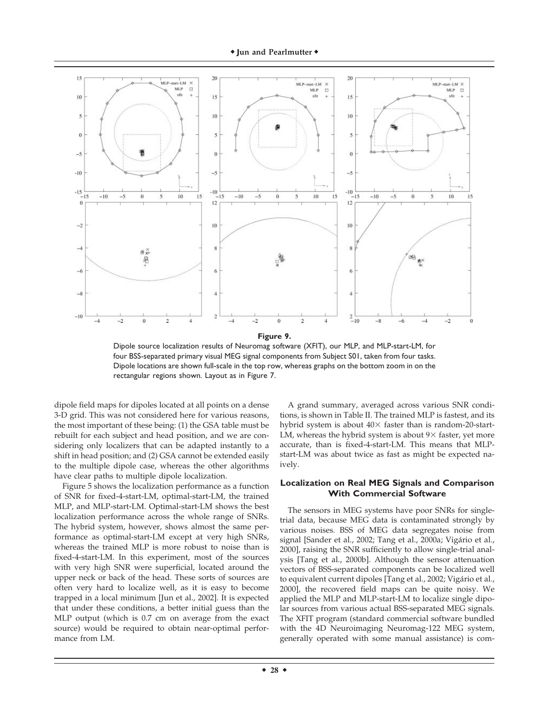

Dipole source localization results of Neuromag software (XFIT), our MLP, and MLP-start-LM, for four BSS-separated primary visual MEG signal components from Subject S01, taken from four tasks. Dipole locations are shown full-scale in the top row, whereas graphs on the bottom zoom in on the rectangular regions shown. Layout as in Figure 7.

dipole field maps for dipoles located at all points on a dense 3-D grid. This was not considered here for various reasons, the most important of these being: (1) the GSA table must be rebuilt for each subject and head position, and we are considering only localizers that can be adapted instantly to a shift in head position; and (2) GSA cannot be extended easily to the multiple dipole case, whereas the other algorithms have clear paths to multiple dipole localization.

Figure 5 shows the localization performance as a function of SNR for fixed-4-start-LM, optimal-start-LM, the trained MLP, and MLP-start-LM. Optimal-start-LM shows the best localization performance across the whole range of SNRs. The hybrid system, however, shows almost the same performance as optimal-start-LM except at very high SNRs, whereas the trained MLP is more robust to noise than is fixed-4-start-LM. In this experiment, most of the sources with very high SNR were superficial, located around the upper neck or back of the head. These sorts of sources are often very hard to localize well, as it is easy to become trapped in a local minimum [Jun et al., 2002]. It is expected that under these conditions, a better initial guess than the MLP output (which is 0.7 cm on average from the exact source) would be required to obtain near-optimal performance from LM.

A grand summary, averaged across various SNR conditions, is shown in Table II. The trained MLP is fastest, and its hybrid system is about  $40\times$  faster than is random-20-start-LM, whereas the hybrid system is about  $9\times$  faster, yet more accurate, than is fixed-4-start-LM. This means that MLPstart-LM was about twice as fast as might be expected naively.

# **Localization on Real MEG Signals and Comparison With Commercial Software**

The sensors in MEG systems have poor SNRs for singletrial data, because MEG data is contaminated strongly by various noises. BSS of MEG data segregates noise from signal [Sander et al., 2002; Tang et al., 2000a; Vigário et al., 2000], raising the SNR sufficiently to allow single-trial analysis [Tang et al., 2000b]. Although the sensor attenuation vectors of BSS-separated components can be localized well to equivalent current dipoles [Tang et al., 2002; Vigário et al., 2000], the recovered field maps can be quite noisy. We applied the MLP and MLP-start-LM to localize single dipolar sources from various actual BSS-separated MEG signals. The XFIT program (standard commercial software bundled with the 4D Neuroimaging Neuromag-122 MEG system, generally operated with some manual assistance) is com-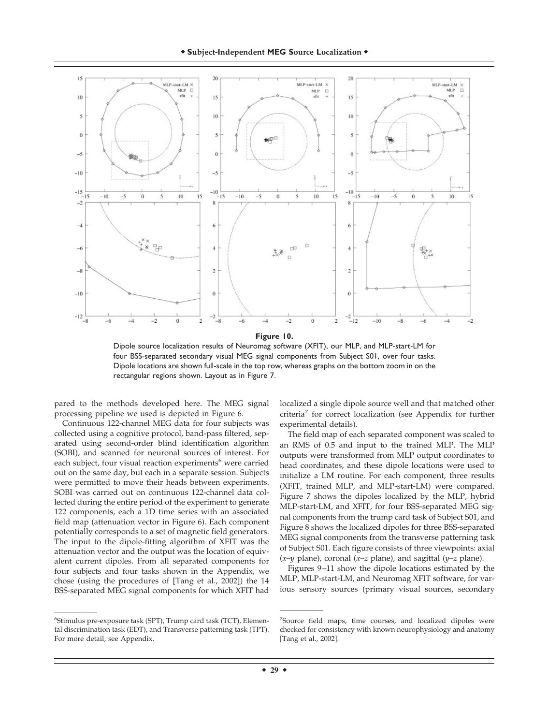

**Figure 10.**

Dipole source localization results of Neuromag software (XFIT), our MLP, and MLP-start-LM for four BSS-separated secondary visual MEG signal components from Subject S01, over four tasks. Dipole locations are shown full-scale in the top row, whereas graphs on the bottom zoom in on the rectangular regions shown. Layout as in Figure 7.

pared to the methods developed here. The MEG signal processing pipeline we used is depicted in Figure 6.

Continuous 122-channel MEG data for four subjects was collected using a cognitive protocol, band-pass filtered, separated using second-order blind identification algorithm (SOBI), and scanned for neuronal sources of interest. For each subject, four visual reaction experiments<sup>6</sup> were carried out on the same day, but each in a separate session. Subjects were permitted to move their heads between experiments. SOBI was carried out on continuous 122-channel data collected during the entire period of the experiment to generate 122 components, each a 1D time series with an associated field map (attenuation vector in Figure 6). Each component potentially corresponds to a set of magnetic field generators. The input to the dipole-fitting algorithm of XFIT was the attenuation vector and the output was the location of equivalent current dipoles. From all separated components for four subjects and four tasks shown in the Appendix, we chose (using the procedures of [Tang et al., 2002]) the 14 BSS-separated MEG signal components for which XFIT had

localized a single dipole source well and that matched other criteria7 for correct localization (see Appendix for further experimental details).

The field map of each separated component was scaled to an RMS of 0.5 and input to the trained MLP. The MLP outputs were transformed from MLP output coordinates to head coordinates, and these dipole locations were used to initialize a LM routine. For each component, three results (XFIT, trained MLP, and MLP-start-LM) were compared. Figure 7 shows the dipoles localized by the MLP, hybrid MLP-start-LM, and XFIT, for four BSS-separated MEG signal components from the trump card task of Subject S01, and Figure 8 shows the localized dipoles for three BSS-separated MEG signal components from the transverse patterning task of Subject S01. Each figure consists of three viewpoints: axial (*x–y* plane), coronal (*x–z* plane), and sagittal (*y–z* plane).

Figures 9 –11 show the dipole locations estimated by the MLP, MLP-start-LM, and Neuromag XFIT software, for various sensory sources (primary visual sources, secondary

<sup>6</sup> Stimulus pre-exposure task (SPT), Trump card task (TCT), Elemental discrimination task (EDT), and Transverse patterning task (TPT). For more detail, see Appendix.

<sup>7</sup> Source field maps, time courses, and localized dipoles were checked for consistency with known neurophysiology and anatomy [Tang et al., 2002].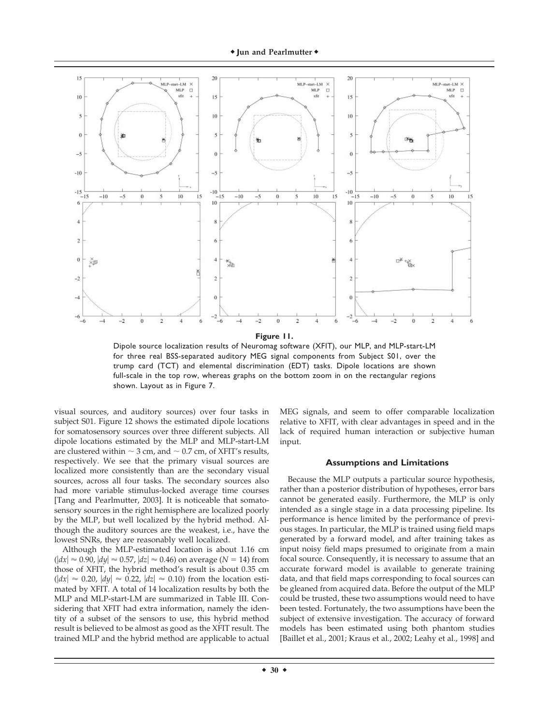

**Figure 11.**

Dipole source localization results of Neuromag software (XFIT), our MLP, and MLP-start-LM for three real BSS-separated auditory MEG signal components from Subject S01, over the trump card (TCT) and elemental discrimination (EDT) tasks. Dipole locations are shown full-scale in the top row, whereas graphs on the bottom zoom in on the rectangular regions shown. Layout as in Figure 7.

visual sources, and auditory sources) over four tasks in subject S01. Figure 12 shows the estimated dipole locations for somatosensory sources over three different subjects. All dipole locations estimated by the MLP and MLP-start-LM are clustered within  $\sim$  3 cm, and  $\sim$  0.7 cm, of XFIT's results, respectively. We see that the primary visual sources are localized more consistently than are the secondary visual sources, across all four tasks. The secondary sources also had more variable stimulus-locked average time courses [Tang and Pearlmutter, 2003]. It is noticeable that somatosensory sources in the right hemisphere are localized poorly by the MLP, but well localized by the hybrid method. Although the auditory sources are the weakest, i.e., have the lowest SNRs, they are reasonably well localized.

Although the MLP-estimated location is about 1.16 cm  $(|dx| \approx 0.90, |dy| \approx 0.57, |dz| \approx 0.46$ ) on average (*N* = 14) from those of XFIT, the hybrid method's result is about 0.35 cm  $(|dx| \approx 0.20, |dy| \approx 0.22, |dz| \approx 0.10$  from the location estimated by XFIT. A total of 14 localization results by both the MLP and MLP-start-LM are summarized in Table III. Considering that XFIT had extra information, namely the identity of a subset of the sensors to use, this hybrid method result is believed to be almost as good as the XFIT result. The trained MLP and the hybrid method are applicable to actual

MEG signals, and seem to offer comparable localization relative to XFIT, with clear advantages in speed and in the lack of required human interaction or subjective human input.

# **Assumptions and Limitations**

Because the MLP outputs a particular source hypothesis, rather than a posterior distribution of hypotheses, error bars cannot be generated easily. Furthermore, the MLP is only intended as a single stage in a data processing pipeline. Its performance is hence limited by the performance of previous stages. In particular, the MLP is trained using field maps generated by a forward model, and after training takes as input noisy field maps presumed to originate from a main focal source. Consequently, it is necessary to assume that an accurate forward model is available to generate training data, and that field maps corresponding to focal sources can be gleaned from acquired data. Before the output of the MLP could be trusted, these two assumptions would need to have been tested. Fortunately, the two assumptions have been the subject of extensive investigation. The accuracy of forward models has been estimated using both phantom studies [Baillet et al., 2001; Kraus et al., 2002; Leahy et al., 1998] and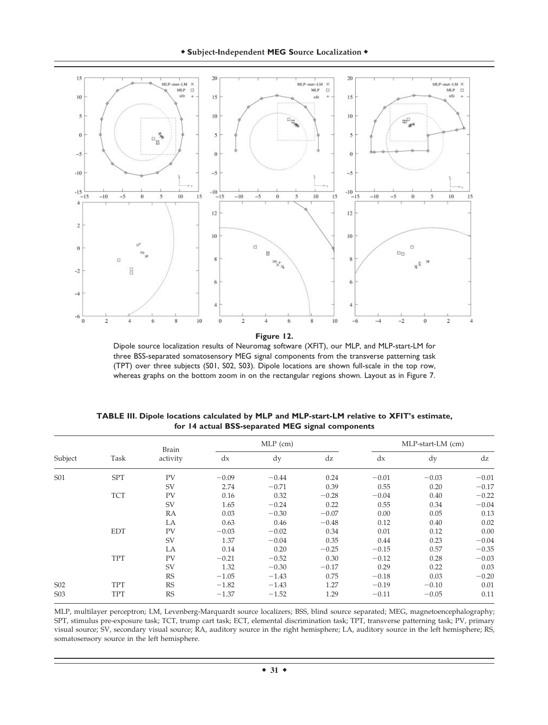

**Figure 12.**

Dipole source localization results of Neuromag software (XFIT), our MLP, and MLP-start-LM for three BSS-separated somatosensory MEG signal components from the transverse patterning task (TPT) over three subjects (S01, S02, S03). Dipole locations are shown full-scale in the top row, whereas graphs on the bottom zoom in on the rectangular regions shown. Layout as in Figure 7.

| TABLE III. Dipole locations calculated by MLP and MLP-start-LM relative to XFIT's estimate, |
|---------------------------------------------------------------------------------------------|
| for 14 actual BSS-separated MEG signal components                                           |

| Subject          | Task       | Brain<br>activity | $MLP$ (cm) |         |         | MLP-start-LM (cm) |         |         |
|------------------|------------|-------------------|------------|---------|---------|-------------------|---------|---------|
|                  |            |                   | dx         | dy      | dz      | dx                | dy      | dz      |
| S <sub>01</sub>  | <b>SPT</b> | PV                | $-0.09$    | $-0.44$ | 0.24    | $-0.01$           | $-0.03$ | $-0.01$ |
|                  |            | <b>SV</b>         | 2.74       | $-0.71$ | 0.39    | 0.55              | 0.20    | $-0.17$ |
|                  | <b>TCT</b> | PV                | 0.16       | 0.32    | $-0.28$ | $-0.04$           | 0.40    | $-0.22$ |
|                  |            | SV                | 1.65       | $-0.24$ | 0.22    | 0.55              | 0.34    | $-0.04$ |
|                  |            | <b>RA</b>         | 0.03       | $-0.30$ | $-0.07$ | 0.00              | 0.05    | 0.13    |
|                  |            | LA                | 0.63       | 0.46    | $-0.48$ | 0.12              | 0.40    | 0.02    |
|                  | <b>EDT</b> | PV                | $-0.03$    | $-0.02$ | 0.34    | 0.01              | 0.12    | 0.00    |
|                  |            | SV                | 1.37       | $-0.04$ | 0.35    | 0.44              | 0.23    | $-0.04$ |
|                  |            | LA                | 0.14       | 0.20    | $-0.25$ | $-0.15$           | 0.57    | $-0.35$ |
|                  | <b>TPT</b> | <b>PV</b>         | $-0.21$    | $-0.52$ | 0.30    | $-0.12$           | 0.28    | $-0.03$ |
|                  |            | SV                | 1.32       | $-0.30$ | $-0.17$ | 0.29              | 0.22    | 0.03    |
|                  |            | <b>RS</b>         | $-1.05$    | $-1.43$ | 0.75    | $-0.18$           | 0.03    | $-0.20$ |
| S <sub>0</sub> 2 | <b>TPT</b> | <b>RS</b>         | $-1.82$    | $-1.43$ | 1.27    | $-0.19$           | $-0.10$ | 0.01    |
| S <sub>0</sub> 3 | <b>TPT</b> | <b>RS</b>         | $-1.37$    | $-1.52$ | 1.29    | $-0.11$           | $-0.05$ | 0.11    |

MLP, multilayer perceptron; LM, Levenberg-Marquardt source localizers; BSS, blind source separated; MEG, magnetoencephalography; SPT, stimulus pre-exposure task; TCT, trump cart task; ECT, elemental discrimination task; TPT, transverse patterning task; PV, primary visual source; SV, secondary visual source; RA, auditory source in the right hemisphere; LA, auditory source in the left hemisphere; RS, somatosensory source in the left hemisphere.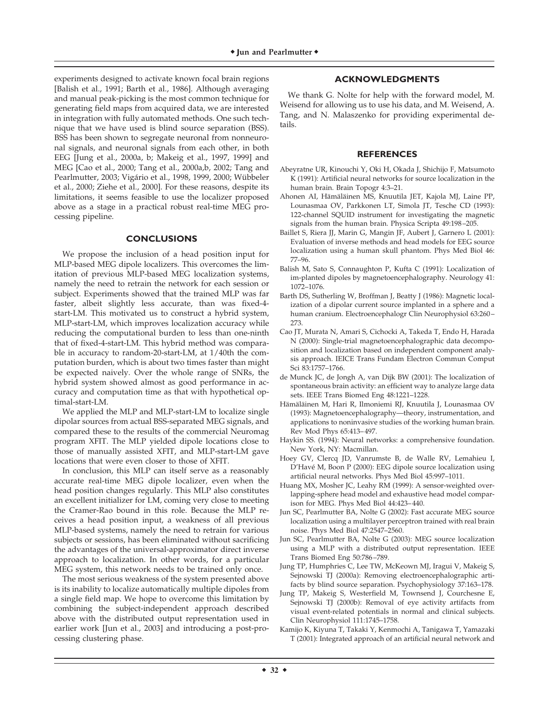experiments designed to activate known focal brain regions [Balish et al., 1991; Barth et al., 1986]. Although averaging and manual peak-picking is the most common technique for generating field maps from acquired data, we are interested in integration with fully automated methods. One such technique that we have used is blind source separation (BSS). BSS has been shown to segregate neuronal from nonneuronal signals, and neuronal signals from each other, in both EEG [Jung et al., 2000a, b; Makeig et al., 1997, 1999] and MEG [Cao et al., 2000; Tang et al., 2000a,b, 2002; Tang and Pearlmutter, 2003; Vigário et al., 1998, 1999, 2000; Wübbeler et al., 2000; Ziehe et al., 2000]. For these reasons, despite its limitations, it seems feasible to use the localizer proposed above as a stage in a practical robust real-time MEG processing pipeline.

# **CONCLUSIONS**

We propose the inclusion of a head position input for MLP-based MEG dipole localizers. This overcomes the limitation of previous MLP-based MEG localization systems, namely the need to retrain the network for each session or subject. Experiments showed that the trained MLP was far faster, albeit slightly less accurate, than was fixed-4 start-LM. This motivated us to construct a hybrid system, MLP-start-LM, which improves localization accuracy while reducing the computational burden to less than one-ninth that of fixed-4-start-LM. This hybrid method was comparable in accuracy to random-20-start-LM, at 1/40th the computation burden, which is about two times faster than might be expected naively. Over the whole range of SNRs, the hybrid system showed almost as good performance in accuracy and computation time as that with hypothetical optimal-start-LM.

We applied the MLP and MLP-start-LM to localize single dipolar sources from actual BSS-separated MEG signals, and compared these to the results of the commercial Neuromag program XFIT. The MLP yielded dipole locations close to those of manually assisted XFIT, and MLP-start-LM gave locations that were even closer to those of XFIT.

In conclusion, this MLP can itself serve as a reasonably accurate real-time MEG dipole localizer, even when the head position changes regularly. This MLP also constitutes an excellent initializer for LM, coming very close to meeting the Cramer-Rao bound in this role. Because the MLP receives a head position input, a weakness of all previous MLP-based systems, namely the need to retrain for various subjects or sessions, has been eliminated without sacrificing the advantages of the universal-approximator direct inverse approach to localization. In other words, for a particular MEG system, this network needs to be trained only once.

The most serious weakness of the system presented above is its inability to localize automatically multiple dipoles from a single field map. We hope to overcome this limitation by combining the subject-independent approach described above with the distributed output representation used in earlier work [Jun et al., 2003] and introducing a post-processing clustering phase.

# **ACKNOWLEDGMENTS**

We thank G. Nolte for help with the forward model, M. Weisend for allowing us to use his data, and M. Weisend, A. Tang, and N. Malaszenko for providing experimental details.

#### **REFERENCES**

- Abeyratne UR, Kinouchi Y, Oki H, Okada J, Shichijo F, Matsumoto K (1991): Artificial neural networks for source localization in the human brain. Brain Topogr 4:3–21.
- Ahonen AI, Hämäläinen MS, Knuutila JET, Kajola MJ, Laine PP, Lounasmaa OV, Parkkonen LT, Simola JT, Tesche CD (1993): 122-channel SQUID instrument for investigating the magnetic signals from the human brain. Physica Scripta 49:198 –205.
- Baillet S, Riera JJ, Marin G, Mangin JF, Aubert J, Garnero L (2001): Evaluation of inverse methods and head models for EEG source localization using a human skull phantom. Phys Med Biol 46: 77–96.
- Balish M, Sato S, Connaughton P, Kufta C (1991): Localization of im-planted dipoles by magnetoencephalography. Neurology 41: 1072–1076.
- Barth DS, Sutherling W, Broffman J, Beatty J (1986): Magnetic localization of a dipolar current source implanted in a sphere and a human cranium. Electroencephalogr Clin Neurophysiol 63:260 – 273.
- Cao JT, Murata N, Amari S, Cichocki A, Takeda T, Endo H, Harada N (2000): Single-trial magnetoencephalographic data decomposition and localization based on independent component analysis approach. IEICE Trans Fundam Electron Commun Comput Sci 83:1757–1766.
- de Munck JC, de Jongh A, van Dijk BW (2001): The localization of spontaneous brain activity: an efficient way to analyze large data sets. IEEE Trans Biomed Eng 48:1221–1228.
- Hämäläinen M, Hari R, Ilmoniemi RJ, Knuutila J, Lounasmaa OV (1993): Magnetoencephalography—theory, instrumentation, and applications to noninvasive studies of the working human brain. Rev Mod Phys 65:413– 497.
- Haykin SS. (1994): Neural networks: a comprehensive foundation. New York, NY: Macmillan.
- Hoey GV, Clercq JD, Vanrumste B, de Walle RV, Lemahieu I, D'Havé M, Boon P (2000): EEG dipole source localization using artificial neural networks. Phys Med Biol 45:997–1011.
- Huang MX, Mosher JC, Leahy RM (1999): A sensor-weighted overlapping-sphere head model and exhaustive head model comparison for MEG. Phys Med Biol 44:423– 440.
- Jun SC, Pearlmutter BA, Nolte G (2002): Fast accurate MEG source localization using a multilayer perceptron trained with real brain noise. Phys Med Biol 47:2547–2560.
- Jun SC, Pearlmutter BA, Nolte G (2003): MEG source localization using a MLP with a distributed output representation. IEEE Trans Biomed Eng 50:786 –789.
- Jung TP, Humphries C, Lee TW, McKeown MJ, Iragui V, Makeig S, Sejnowski TJ (2000a): Removing electroencephalographic artifacts by blind source separation. Psychophysiology 37:163–178.
- Jung TP, Makeig S, Westerfield M, Townsend J, Courchesne E, Sejnowski TJ (2000b): Removal of eye activity artifacts from visual event-related potentials in normal and clinical subjects. Clin Neurophysiol 111:1745–1758.
- Kamijo K, Kiyuna T, Takaki Y, Kenmochi A, Tanigawa T, Yamazaki T (2001): Integrated approach of an artificial neural network and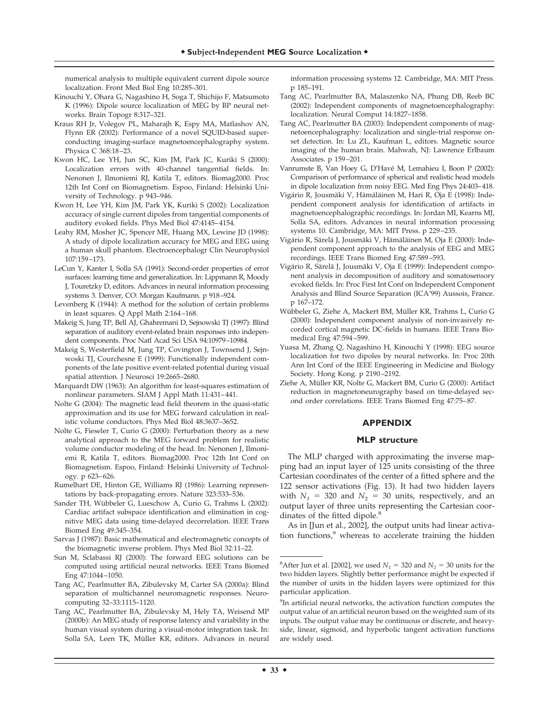numerical analysis to multiple equivalent current dipole source localization. Front Med Biol Eng 10:285–301.

- Kinouchi Y, Ohara G, Nagashino H, Soga T, Shichijo F, Matsumoto K (1996): Dipole source localization of MEG by BP neural networks. Brain Topogr 8:317–321.
- Kraus RH Jr, Volegov PL, Maharajh K, Espy MA, Matlashov AN, Flynn ER (2002): Performance of a novel SQUID-based superconducting imaging-surface magnetoencephalography system. Physica C 368:18 –23.
- Kwon HC, Lee YH, Jun SC, Kim JM, Park JC, Kuriki S (2000): Localization errors with 40-channel tangential fields. In: Nenonen J, Ilmoniemi RJ, Katila T, editors. Biomag2000. Proc 12th Int Conf on Biomagnetism. Espoo, Finland: Helsinki University of Technology. p 943–946.
- Kwon H, Lee YH, Kim JM, Park YK, Kuriki S (2002): Localization accuracy of single current dipoles from tangential components of auditory evoked fields. Phys Med Biol 47:4145– 4154.
- Leahy RM, Mosher JC, Spencer ME, Huang MX, Lewine JD (1998): A study of dipole localization accuracy for MEG and EEG using a human skull phantom. Electroencephalogr Clin Neurophysiol 107:159 –173.
- LeCun Y, Kanter I, Solla SA (1991): Second-order properties of error surfaces: learning time and generalization. In: Lippmann R, Moody J, Touretzky D, editors. Advances in neural information processing systems 3. Denver, CO: Morgan Kaufmann. p 918–924.
- Levenberg K (1944): A method for the solution of certain problems in least squares. Q Appl Math 2:164 –168.
- Makeig S, Jung TP, Bell AJ, Ghahremani D, Sejnowski TJ (1997): Blind separation of auditory event-related brain responses into independent components. Proc Natl Acad Sci USA 94:10979–10984.
- Makeig S, Westerfield M, Jung TP, Covington J, Townsend J, Sejnwoski TJ, Courchesne E (1999): Functionally independent components of the late positive event-related potential during visual spatial attention. J Neurosci 19:2665–2680.
- Marquardt DW (1963): An algorithm for least-squares estimation of nonlinear parameters. SIAM J Appl Math 11:431– 441.
- Nolte G (2004): The magnetic lead field theorem in the quasi-static approximation and its use for MEG forward calculation in realistic volume conductors. Phys Med Biol 48:3637–3652.
- Nolte G, Fieseler T, Curio G (2000): Perturbation theory as a new analytical approach to the MEG forward problem for realistic volume conductor modeling of the head. In: Nenonen J, Ilmoniemi R, Katila T, editors. Biomag2000. Proc 12th Int Conf on Biomagnetism. Espoo, Finland: Helsinki University of Technology. p 623– 626.
- Rumelhart DE, Hinton GE, Williams RJ (1986): Learning representations by back-propagating errors. Nature 323:533–536.
- Sander TH, Wübbeler G, Lueschow A, Curio G, Trahms L (2002): Cardiac artifact subspace identification and elimination in cognitive MEG data using time-delayed decorrelation. IEEE Trans Biomed Eng 49:345–354.
- Sarvas J (1987): Basic mathematical and electromagnetic concepts of the biomagnetic inverse problem. Phys Med Biol 32:11–22.
- Sun M, Sclabassi RJ (2000): The forward EEG solutions can be computed using artificial neural networks. IEEE Trans Biomed Eng 47:1044 –1050.
- Tang AC, Pearlmutter BA, Zibulevsky M, Carter SA (2000a): Blind separation of multichannel neuromagnetic responses. Neurocomputing 32–33:1115–1120.
- Tang AC, Pearlmutter BA, Zibulevsky M, Hely TA, Weisend MP (2000b): An MEG study of response latency and variability in the human visual system during a visual-motor integration task. In: Solla SA, Leen TK, Müller KR, editors. Advances in neural

information processing systems 12. Cambridge, MA: MIT Press. p 185–191.

- Tang AC, Pearlmutter BA, Malaszenko NA, Phung DB, Reeb BC (2002): Independent components of magnetoencephalography: localization. Neural Comput 14:1827–1858.
- Tang AC, Pearlmutter BA (2003): Independent components of magnetoencephalography: localization and single-trial response onset detection. In: Lu ZL, Kaufman L, editors. Magnetic source imaging of the human brain. Mahwah, NJ: Lawrence Erlbaum Associates. p 159-201.
- Vanrumste B, Van Hoey G, D'Havé M, Lemahieu I, Boon P (2002): Comparison of performance of spherical and realistic head models in dipole localization from noisy EEG. Med Eng Phys 24:403– 418.
- Vigário R, Jousmäki V, Hämäläinen M, Hari R, Oja E (1998): Independent component analysis for identification of artifacts in magnetoencephalographic recordings. In: Jordan MI, Kearns MJ, Solla SA, editors. Advances in neural information processing systems 10. Cambridge, MA: MIT Press. p 229 –235.
- Vigário R, Särelä J, Jousmäki V, Hämäläinen M, Oja E (2000): Independent component approach to the analysis of EEG and MEG recordings. IEEE Trans Biomed Eng 47:589 –593.
- Vigário R, Särelä J, Jousmäki V, Oja E (1999): Independent component analysis in decomposition of auditory and somatosensory evoked fields. In: Proc First Int Conf on Independent Component Analysis and Blind Source Separation (ICA'99) Aussois, France. p 167–172.
- Wübbeler G, Ziehe A, Mackert BM, Müller KR, Trahms L, Curio G (2000): Independent component analysis of non-invasively recorded cortical magnetic DC-fields in humans. IEEE Trans Biomedical Eng 47:594 –599.
- Yuasa M, Zhang Q, Nagashino H, Kinouchi Y (1998): EEG source localization for two dipoles by neural networks. In: Proc 20th Ann Int Conf of the IEEE Engineering in Medicine and Biology Society. Hong Kong. p 2190 –2192.
- Ziehe A, Müller KR, Nolte G, Mackert BM, Curio G (2000): Artifact reduction in magnetoneurography based on time-delayed second order correlations. IEEE Trans Biomed Eng 47:75– 87.

# **APPENDIX**

## **MLP structure**

The MLP charged with approximating the inverse mapping had an input layer of 125 units consisting of the three Cartesian coordinates of the center of a fitted sphere and the 122 sensor activations (Fig. 13). It had two hidden layers with  $N_1$  = 320 and  $N_2$  = 30 units, respectively, and an output layer of three units representing the Cartesian coordinates of the fitted dipole.<sup>8</sup>

As in [Jun et al., 2002], the output units had linear activation functions,<sup>9</sup> whereas to accelerate training the hidden

<sup>&</sup>lt;sup>8</sup>After Jun et al. [2002], we used  $N_1 = 320$  and  $N_2 = 30$  units for the two hidden layers. Slightly better performance might be expected if the number of units in the hidden layers were optimized for this particular application.

<sup>&</sup>lt;sup>9</sup>In artificial neural networks, the activation function computes the output value of an artificial neuron based on the weighted sum of its inputs. The output value may be continuous or discrete, and heavyside, linear, sigmoid, and hyperbolic tangent activation functions are widely used.